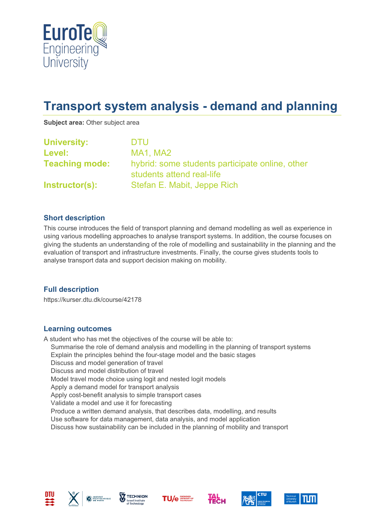

# **Transport system analysis - demand and planning**

**Subject area:** Other subject area

| <b>University:</b>    | DTU                                                                          |  |
|-----------------------|------------------------------------------------------------------------------|--|
| Level:                | MA1, MA2                                                                     |  |
| <b>Teaching mode:</b> | hybrid: some students participate online, other<br>students attend real-life |  |
| <b>Instructor(s):</b> | Stefan E. Mabit, Jeppe Rich                                                  |  |

#### **Short description**

This course introduces the field of transport planning and demand modelling as well as experience in using various modelling approaches to analyse transport systems. In addition, the course focuses on giving the students an understanding of the role of modelling and sustainability in the planning and the evaluation of transport and infrastructure investments. Finally, the course gives students tools to analyse transport data and support decision making on mobility.

#### **Full description**

https://kurser.dtu.dk/course/42178

#### **Learning outcomes**

A student who has met the objectives of the course will be able to: Summarise the role of demand analysis and modelling in the planning of transport systems Explain the principles behind the four-stage model and the basic stages Discuss and model generation of travel Discuss and model distribution of travel Model travel mode choice using logit and nested logit models Apply a demand model for transport analysis Apply cost-benefit analysis to simple transport cases Validate a model and use it for forecasting Produce a written demand analysis, that describes data, modelling, and results Use software for data management, data analysis, and model application Discuss how sustainability can be included in the planning of mobility and transport











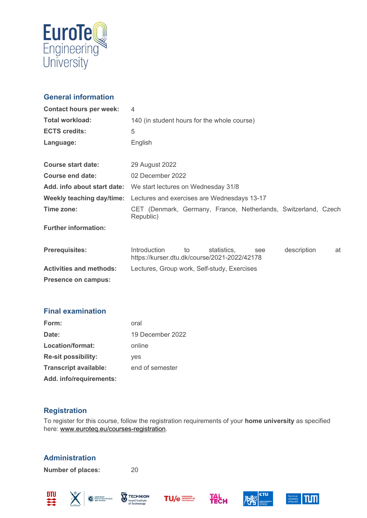

## **General information**

| <b>Contact hours per week:</b> | $\overline{4}$                                                                                                       |  |  |
|--------------------------------|----------------------------------------------------------------------------------------------------------------------|--|--|
| <b>Total workload:</b>         | 140 (in student hours for the whole course)                                                                          |  |  |
| <b>ECTS credits:</b>           | 5                                                                                                                    |  |  |
| Language:                      | English                                                                                                              |  |  |
| <b>Course start date:</b>      | 29 August 2022                                                                                                       |  |  |
| <b>Course end date:</b>        | 02 December 2022                                                                                                     |  |  |
| Add. info about start date:    | We start lectures on Wednesday 31/8                                                                                  |  |  |
| Weekly teaching day/time:      | Lectures and exercises are Wednesdays 13-17                                                                          |  |  |
| Time zone:                     | CET (Denmark, Germany, France, Netherlands, Switzerland, Czech<br>Republic)                                          |  |  |
| <b>Further information:</b>    |                                                                                                                      |  |  |
| <b>Prerequisites:</b>          | <b>Introduction</b><br>description<br>statistics,<br>to<br>at<br>see<br>https://kurser.dtu.dk/course/2021-2022/42178 |  |  |
| <b>Activities and methods:</b> | Lectures, Group work, Self-study, Exercises                                                                          |  |  |
| <b>Presence on campus:</b>     |                                                                                                                      |  |  |

### **Final examination**

| Form:                        | oral             |
|------------------------------|------------------|
| Date:                        | 19 December 2022 |
| Location/format:             | online           |
| <b>Re-sit possibility:</b>   | yes              |
| <b>Transcript available:</b> | end of semester  |
| Add. info/requirements:      |                  |

### **Registration**

To register for this course, follow the registration requirements of your **home university** as specified here: [www.euroteq.eu/courses-registration.](http://www.euroteq.eu/courses-registration)

# **Administration**

**Number of places:** 20